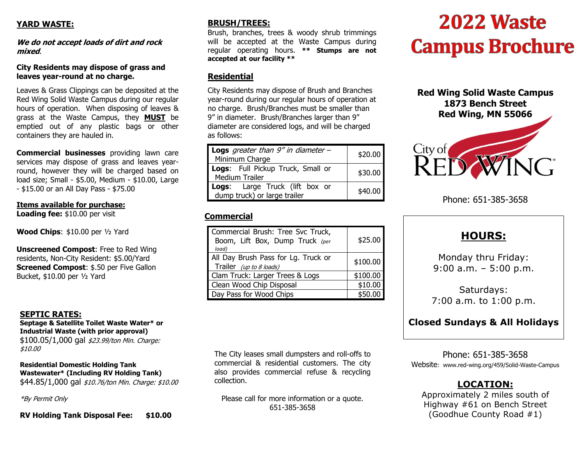# **YARD WASTE:**

**We do not accept loads of dirt and rock mixed**.

#### **City Residents may dispose of grass and leaves year-round at no charge.**

Leaves & Grass Clippings can be deposited at the Red Wing Solid Waste Campus during our regular hours of operation. When disposing of leaves & grass at the Waste Campus, they **MUST** be emptied out of any plastic bags or other containers they are hauled in.

**Commercial businesses** providing lawn care services may dispose of grass and leaves yearround, however they will be charged based on load size; Small - \$5.00, Medium - \$10.00, Large - \$15.00 or an All Day Pass - \$75.00

#### **Items available for purchase:**

**Loading fee:** \$10.00 per visit

**Wood Chips**: \$10.00 per ½ Yard

**Unscreened Compost**: Free to Red Wing residents, Non-City Resident: \$5.00/Yard **Screened Compost: \$.50 per Five Gallon** Bucket, \$10.00 per ½ Yard

#### **SEPTIC RATES:**

**Septage & Satellite Toilet Waste Water\* or Industrial Waste (with prior approval)** \$100.05/1,000 gal \$23.99/ton Min. Charge: \$10.00

#### **Residential Domestic Holding Tank Wastewater\* (Including RV Holding Tank)**  \$44,85/1,000 gal \$10,76/ton Min. Charge: \$10,00

\*By Permit Only

**RV Holding Tank Disposal Fee: \$10.00**

#### **BRUSH/TREES:**

Brush, branches, trees & woody shrub trimmings will be accepted at the Waste Campus during regular operating hours. **\*\* Stumps are not accepted at our facility \*\***

#### **Residential**

City Residents may dispose of Brush and Branches year-round during our regular hours of operation at no charge. Brush/Branches must be smaller than 9" in diameter. Brush/Branches larger than 9" diameter are considered logs, and will be charged as follows:

| <b>Logs</b> greater than $9''$ in diameter -<br>Minimum Charge | \$20.00 |
|----------------------------------------------------------------|---------|
| Logs: Full Pickup Truck, Small or<br><b>Medium Trailer</b>     | \$30.00 |
| Logs: Large Truck (lift box or<br>dump truck) or large trailer | \$40.00 |

# **Commercial**

| Commercial Brush: Tree Svc Truck,<br>Boom, Lift Box, Dump Truck (per<br>load) | \$25.00  |
|-------------------------------------------------------------------------------|----------|
| All Day Brush Pass for Lg. Truck or<br>Trailer (up to 8 loads)                | \$100.00 |
| Clam Truck: Larger Trees & Logs                                               | \$100.00 |
| Clean Wood Chip Disposal                                                      | \$10.00  |
| Day Pass for Wood Chips                                                       | \$50.00  |

The City leases small dumpsters and roll-offs to commercial & residential customers. The city also provides commercial refuse & recycling collection.

Please call for more information or a quote. 651-385-3658

# 2022 Waste **Campus Brochure**

**Red Wing Solid Waste Campus 1873 Bench Street Red Wing, MN 55066** 



Phone: 651-385-3658

# **HOURS:**

Monday thru Friday: 9:00 a.m. – 5:00 p.m.

Saturdays: 7:00 a.m. to 1:00 p.m.

# **Closed Sundays & All Holidays**

Phone: 651-385-3658 Website: www.red-wing.org/459/Solid-Waste-Campus

# **LOCATION:**

Approximately 2 miles south of Highway #61 on Bench Street (Goodhue County Road #1)